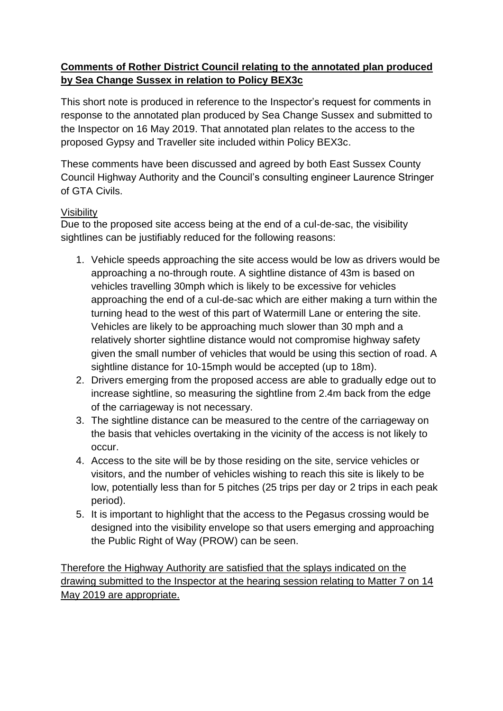## **Comments of Rother District Council relating to the annotated plan produced by Sea Change Sussex in relation to Policy BEX3c**

This short note is produced in reference to the Inspector's request for comments in response to the annotated plan produced by Sea Change Sussex and submitted to the Inspector on 16 May 2019. That annotated plan relates to the access to the proposed Gypsy and Traveller site included within Policy BEX3c.

These comments have been discussed and agreed by both East Sussex County Council Highway Authority and the Council's consulting engineer Laurence Stringer of GTA Civils.

## Visibility

Due to the proposed site access being at the end of a cul-de-sac, the visibility sightlines can be justifiably reduced for the following reasons:

- 1. Vehicle speeds approaching the site access would be low as drivers would be approaching a no-through route. A sightline distance of 43m is based on vehicles travelling 30mph which is likely to be excessive for vehicles approaching the end of a cul-de-sac which are either making a turn within the turning head to the west of this part of Watermill Lane or entering the site. Vehicles are likely to be approaching much slower than 30 mph and a relatively shorter sightline distance would not compromise highway safety given the small number of vehicles that would be using this section of road. A sightline distance for 10-15mph would be accepted (up to 18m).
- 2. Drivers emerging from the proposed access are able to gradually edge out to increase sightline, so measuring the sightline from 2.4m back from the edge of the carriageway is not necessary.
- 3. The sightline distance can be measured to the centre of the carriageway on the basis that vehicles overtaking in the vicinity of the access is not likely to occur.
- 4. Access to the site will be by those residing on the site, service vehicles or visitors, and the number of vehicles wishing to reach this site is likely to be low, potentially less than for 5 pitches (25 trips per day or 2 trips in each peak period).
- 5. It is important to highlight that the access to the Pegasus crossing would be designed into the visibility envelope so that users emerging and approaching the Public Right of Way (PROW) can be seen.

Therefore the Highway Authority are satisfied that the splays indicated on the drawing submitted to the Inspector at the hearing session relating to Matter 7 on 14 May 2019 are appropriate.